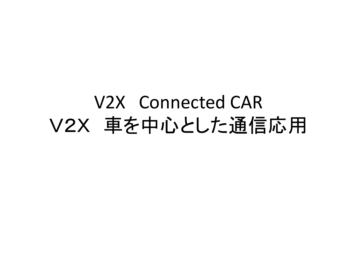### V2X Connected CAR V2X 車を中心とした通信応用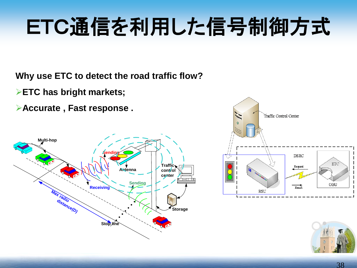# ETC通信を利用した信号制御方式

**Why use ETC to detect the road traffic flow?**

**ETC has bright markets;**

**Accurate , Fast response .** 





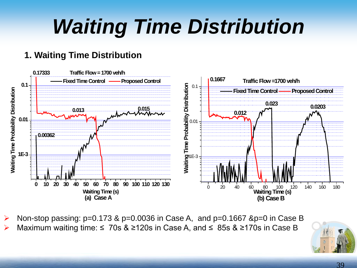### *Waiting Time Distribution*

#### **1. Waiting Time Distribution**



Non-stop passing: p=0.173 & p=0.0036 in Case A, and p=0.1667 &p=0 in Case B Maximum waiting time:  $\leq 70s$  &  $\geq 120s$  in Case A, and  $\leq 85s$  &  $\geq 170s$  in Case B

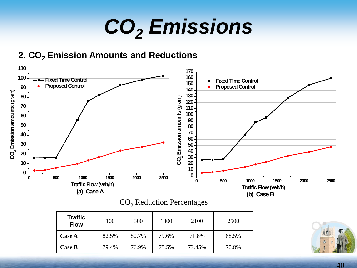## *CO2 Emissions*

#### **2. CO<sub>2</sub> Emission Amounts and Reductions**



| $CO2$ Reduction Percentages |
|-----------------------------|
|                             |

| <b>Traffic</b><br><b>Flow</b> | 100   | 300   | 1300  | 2100   | 2500  |
|-------------------------------|-------|-------|-------|--------|-------|
| <b>Case A</b>                 | 82.5% | 80.7% | 79.6% | 71.8%  | 68.5% |
| <b>Case B</b>                 | 79.4% | 76.9% | 75.5% | 73.45% | 70.8% |

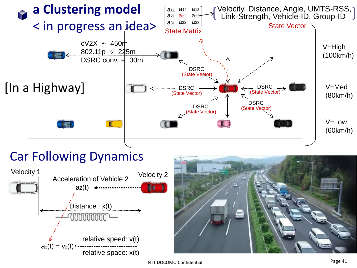

NTT DOCOMO Confidential